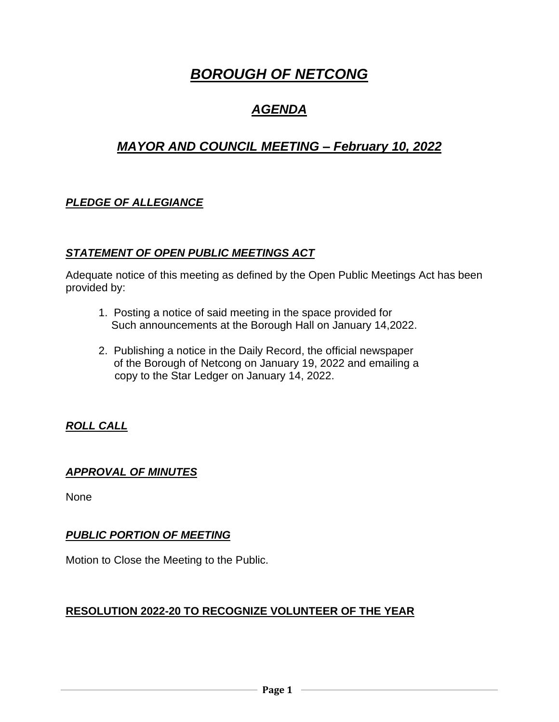# *BOROUGH OF NETCONG*

## *AGENDA*

## *MAYOR AND COUNCIL MEETING – February 10, 2022*

## *PLEDGE OF ALLEGIANCE*

## *STATEMENT OF OPEN PUBLIC MEETINGS ACT*

Adequate notice of this meeting as defined by the Open Public Meetings Act has been provided by:

- 1. Posting a notice of said meeting in the space provided for Such announcements at the Borough Hall on January 14,2022.
- 2. Publishing a notice in the Daily Record, the official newspaper of the Borough of Netcong on January 19, 2022 and emailing a copy to the Star Ledger on January 14, 2022.

## *ROLL CALL*

## *APPROVAL OF MINUTES*

None

#### *PUBLIC PORTION OF MEETING*

Motion to Close the Meeting to the Public.

#### **RESOLUTION 2022-20 TO RECOGNIZE VOLUNTEER OF THE YEAR**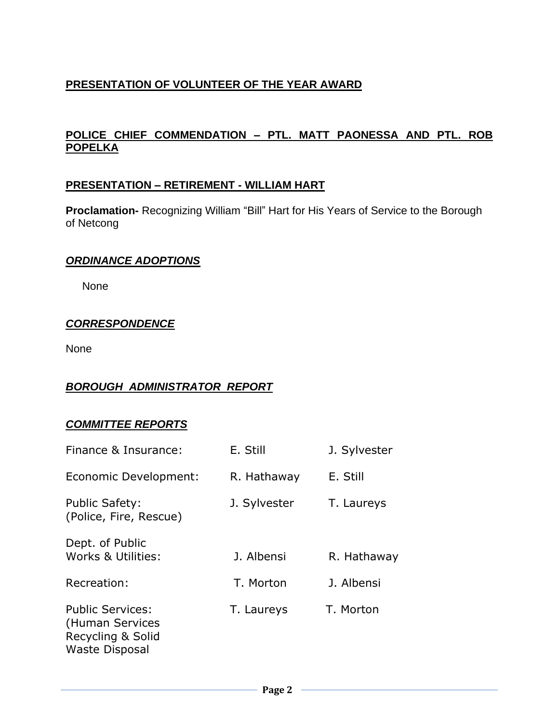## **PRESENTATION OF VOLUNTEER OF THE YEAR AWARD**

## **POLICE CHIEF COMMENDATION – PTL. MATT PAONESSA AND PTL. ROB POPELKA**

#### **PRESENTATION – RETIREMENT - WILLIAM HART**

**Proclamation-** Recognizing William "Bill" Hart for His Years of Service to the Borough of Netcong

#### *ORDINANCE ADOPTIONS*

None

#### *CORRESPONDENCE*

None

#### *BOROUGH ADMINISTRATOR REPORT*

#### *COMMITTEE REPORTS*

| Finance & Insurance:                                                                     | E. Still     | J. Sylvester |
|------------------------------------------------------------------------------------------|--------------|--------------|
| Economic Development:                                                                    | R. Hathaway  | E. Still     |
| <b>Public Safety:</b><br>(Police, Fire, Rescue)                                          | J. Sylvester | T. Laureys   |
| Dept. of Public<br>Works & Utilities:                                                    | J. Albensi   | R. Hathaway  |
| Recreation:                                                                              | T. Morton    | J. Albensi   |
| <b>Public Services:</b><br>(Human Services<br>Recycling & Solid<br><b>Waste Disposal</b> | T. Laureys   | T. Morton    |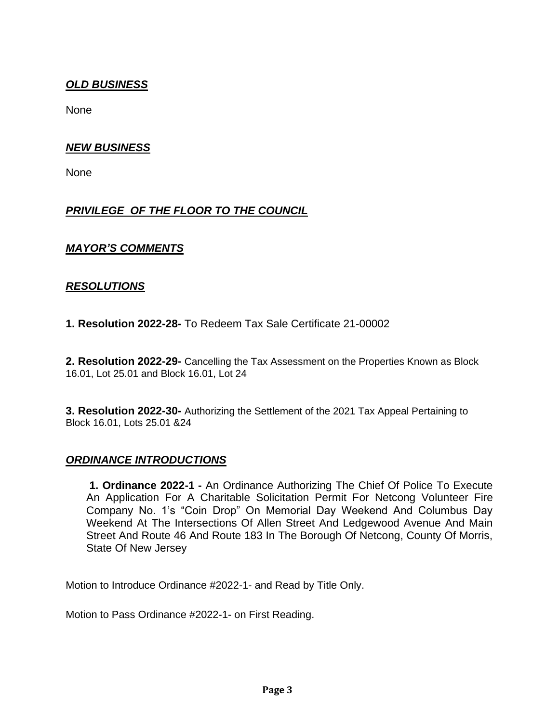## *OLD BUSINESS*

None

#### *NEW BUSINESS*

None

## *PRIVILEGE OF THE FLOOR TO THE COUNCIL*

#### *MAYOR'S COMMENTS*

#### *RESOLUTIONS*

**1. Resolution 2022-28-** To Redeem Tax Sale Certificate 21-00002

**2. Resolution 2022-29-** Cancelling the Tax Assessment on the Properties Known as Block 16.01, Lot 25.01 and Block 16.01, Lot 24

**3. Resolution 2022-30-** Authorizing the Settlement of the 2021 Tax Appeal Pertaining to Block 16.01, Lots 25.01 &24

#### *ORDINANCE INTRODUCTIONS*

**1. Ordinance 2022-1 -** An Ordinance Authorizing The Chief Of Police To Execute An Application For A Charitable Solicitation Permit For Netcong Volunteer Fire Company No. 1's "Coin Drop" On Memorial Day Weekend And Columbus Day Weekend At The Intersections Of Allen Street And Ledgewood Avenue And Main Street And Route 46 And Route 183 In The Borough Of Netcong, County Of Morris, State Of New Jersey

Motion to Introduce Ordinance #2022-1- and Read by Title Only.

Motion to Pass Ordinance #2022-1- on First Reading.